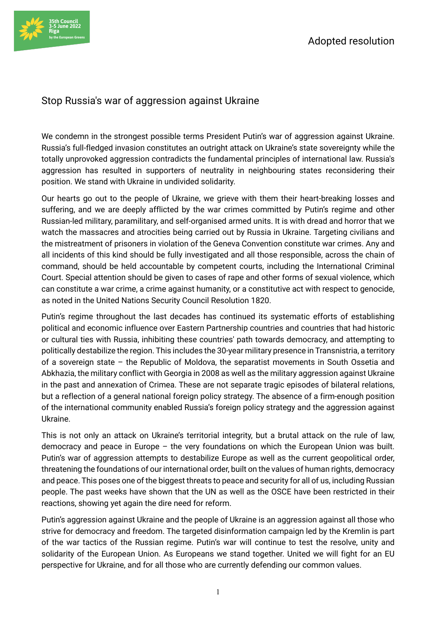## Stop Russia's war of aggression against Ukraine

We condemn in the strongest possible terms President Putin's war of aggression against Ukraine. Russia's full-fledged invasion constitutes an outright attack on Ukraine's state sovereignty while the totally unprovoked aggression contradicts the fundamental principles of international law. Russia's aggression has resulted in supporters of neutrality in neighbouring states reconsidering their position. We stand with Ukraine in undivided solidarity.

Our hearts go out to the people of Ukraine, we grieve with them their heart-breaking losses and suffering, and we are deeply afflicted by the war crimes committed by Putin's regime and other Russian-led military, paramilitary, and self-organised armed units. It is with dread and horror that we watch the massacres and atrocities being carried out by Russia in Ukraine. Targeting civilians and the mistreatment of prisoners in violation of the Geneva Convention constitute war crimes. Any and all incidents of this kind should be fully investigated and all those responsible, across the chain of command, should be held accountable by competent courts, including the International Criminal Court. Special attention should be given to cases of rape and other forms of sexual violence, which can constitute a war crime, a crime against humanity, or a constitutive act with respect to genocide, as noted in the United Nations Security Council Resolution 1820.

Putin's regime throughout the last decades has continued its systematic efforts of establishing political and economic influence over Eastern Partnership countries and countries that had historic or cultural ties with Russia, inhibiting these countries' path towards democracy, and attempting to politically destabilize the region. This includes the 30-year military presence in Transnistria, a territory of a sovereign state – the Republic of Moldova, the separatist movements in South Ossetia and Abkhazia, the military conflict with Georgia in 2008 as well as the military aggression against Ukraine in the past and annexation of Crimea. These are not separate tragic episodes of bilateral relations, but a reflection of a general national foreign policy strategy. The absence of a firm-enough position of the international community enabled Russia's foreign policy strategy and the aggression against Ukraine.

This is not only an attack on Ukraine's territorial integrity, but a brutal attack on the rule of law, democracy and peace in Europe – the very foundations on which the European Union was built. Putin's war of aggression attempts to destabilize Europe as well as the current geopolitical order, threatening the foundations of our international order, built on the values of human rights, democracy and peace. This poses one of the biggest threats to peace and security for all of us, including Russian people. The past weeks have shown that the UN as well as the OSCE have been restricted in their reactions, showing yet again the dire need for reform.

Putin's aggression against Ukraine and the people of Ukraine is an aggression against all those who strive for democracy and freedom. The targeted disinformation campaign led by the Kremlin is part of the war tactics of the Russian regime. Putin's war will continue to test the resolve, unity and solidarity of the European Union. As Europeans we stand together. United we will fight for an EU perspective for Ukraine, and for all those who are currently defending our common values.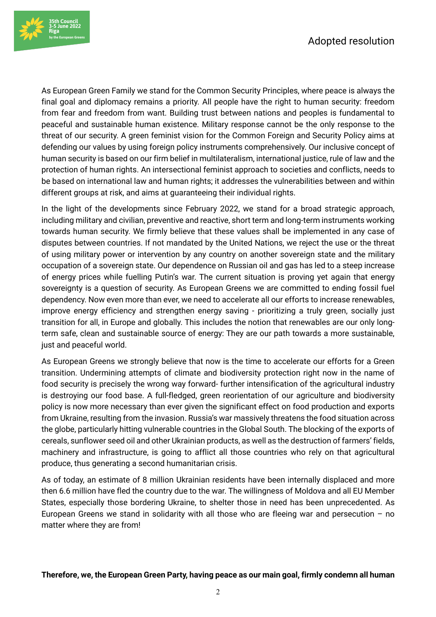

As European Green Family we stand for the Common Security Principles, where peace is always the final goal and diplomacy remains a priority. All people have the right to human security: freedom from fear and freedom from want. Building trust between nations and peoples is fundamental to peaceful and sustainable human existence. Military response cannot be the only response to the threat of our security. A green feminist vision for the Common Foreign and Security Policy aims at defending our values by using foreign policy instruments comprehensively. Our inclusive concept of human security is based on our firm belief in multilateralism, international justice, rule of law and the protection of human rights. An intersectional feminist approach to societies and conflicts, needs to be based on international law and human rights; it addresses the vulnerabilities between and within different groups at risk, and aims at guaranteeing their individual rights.

In the light of the developments since February 2022, we stand for a broad strategic approach, including military and civilian, preventive and reactive, short term and long-term instruments working towards human security. We firmly believe that these values shall be implemented in any case of disputes between countries. If not mandated by the United Nations, we reject the use or the threat of using military power or intervention by any country on another sovereign state and the military occupation of a sovereign state. Our dependence on Russian oil and gas has led to a steep increase of energy prices while fuelling Putin's war. The current situation is proving yet again that energy sovereignty is a question of security. As European Greens we are committed to ending fossil fuel dependency. Now even more than ever, we need to accelerate all our efforts to increase renewables, improve energy efficiency and strengthen energy saving - prioritizing a truly green, socially just transition for all, in Europe and globally. This includes the notion that renewables are our only longterm safe, clean and sustainable source of energy: They are our path towards a more sustainable, just and peaceful world.

As European Greens we strongly believe that now is the time to accelerate our efforts for a Green transition. Undermining attempts of climate and biodiversity protection right now in the name of food security is precisely the wrong way forward- further intensification of the agricultural industry is destroying our food base. A full-fledged, green reorientation of our agriculture and biodiversity policy is now more necessary than ever given the significant effect on food production and exports from Ukraine, resulting from the invasion. Russia's war massively threatens the food situation across the globe, particularly hitting vulnerable countries in the Global South. The blocking of the exports of cereals, sunflower seed oil and other Ukrainian products, as well as the destruction of farmers' fields, machinery and infrastructure, is going to afflict all those countries who rely on that agricultural produce, thus generating a second humanitarian crisis.

As of today, an estimate of 8 million Ukrainian residents have been internally displaced and more then 6.6 million have fled the country due to the war. The willingness of Moldova and all EU Member States, especially those bordering Ukraine, to shelter those in need has been unprecedented. As European Greens we stand in solidarity with all those who are fleeing war and persecution  $-$  no matter where they are from!

## **Therefore, we, the European Green Party, having peace as our main goal, firmly condemn all human**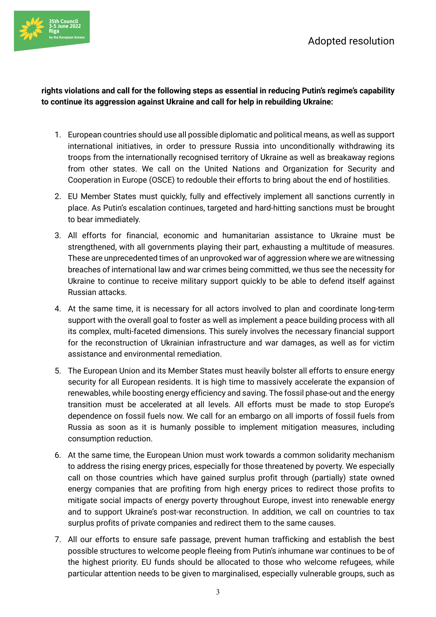

## **rights violations and call for the following steps as essential in reducing Putin's regime's capability to continue its aggression against Ukraine and call for help in rebuilding Ukraine:**

- 1. European countries should use all possible diplomatic and political means, as well as support international initiatives, in order to pressure Russia into unconditionally withdrawing its troops from the internationally recognised territory of Ukraine as well as breakaway regions from other states. We call on the United Nations and Organization for Security and Cooperation in Europe (OSCE) to redouble their efforts to bring about the end of hostilities.
- 2. EU Member States must quickly, fully and effectively implement all sanctions currently in place. As Putin's escalation continues, targeted and hard-hitting sanctions must be brought to bear immediately.
- 3. All efforts for financial, economic and humanitarian assistance to Ukraine must be strengthened, with all governments playing their part, exhausting a multitude of measures. These are unprecedented times of an unprovoked war of aggression where we are witnessing breaches of international law and war crimes being committed, we thus see the necessity for Ukraine to continue to receive military support quickly to be able to defend itself against Russian attacks.
- 4. At the same time, it is necessary for all actors involved to plan and coordinate long-term support with the overall goal to foster as well as implement a peace building process with all its complex, multi-faceted dimensions. This surely involves the necessary financial support for the reconstruction of Ukrainian infrastructure and war damages, as well as for victim assistance and environmental remediation.
- 5. The European Union and its Member States must heavily bolster all efforts to ensure energy security for all European residents. It is high time to massively accelerate the expansion of renewables, while boosting energy efficiency and saving. The fossil phase-out and the energy transition must be accelerated at all levels. All efforts must be made to stop Europe's dependence on fossil fuels now. We call for an embargo on all imports of fossil fuels from Russia as soon as it is humanly possible to implement mitigation measures, including consumption reduction.
- 6. At the same time, the European Union must work towards a common solidarity mechanism to address the rising energy prices, especially for those threatened by poverty. We especially call on those countries which have gained surplus profit through (partially) state owned energy companies that are profiting from high energy prices to redirect those profits to mitigate social impacts of energy poverty throughout Europe, invest into renewable energy and to support Ukraine's post-war reconstruction. In addition, we call on countries to tax surplus profits of private companies and redirect them to the same causes.
- 7. All our efforts to ensure safe passage, prevent human trafficking and establish the best possible structures to welcome people fleeing from Putin's inhumane war continues to be of the highest priority. EU funds should be allocated to those who welcome refugees, while particular attention needs to be given to marginalised, especially vulnerable groups, such as